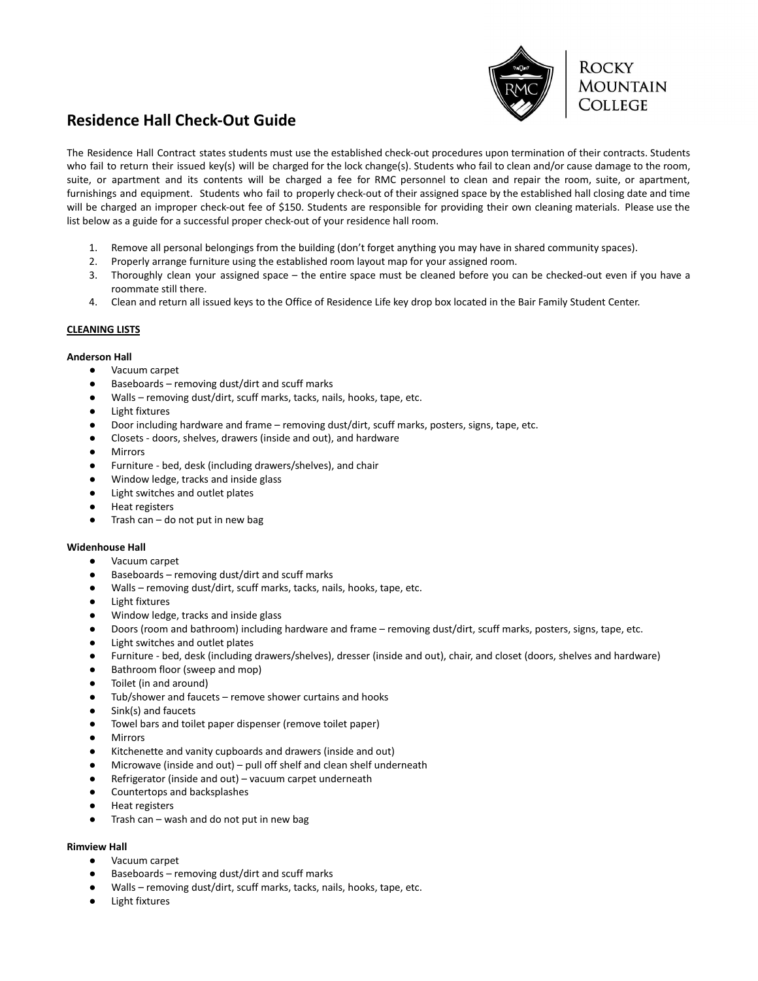

# **Residence Hall Check-Out Guide**

The Residence Hall Contract states students must use the established check-out procedures upon termination of their contracts. Students who fail to return their issued key(s) will be charged for the lock change(s). Students who fail to clean and/or cause damage to the room, suite, or apartment and its contents will be charged a fee for RMC personnel to clean and repair the room, suite, or apartment, furnishings and equipment. Students who fail to properly check-out of their assigned space by the established hall closing date and time will be charged an improper check-out fee of \$150. Students are responsible for providing their own cleaning materials. Please use the list below as a guide for a successful proper check-out of your residence hall room.

- 1. Remove all personal belongings from the building (don't forget anything you may have in shared community spaces).
- 2. Properly arrange furniture using the established room layout map for your assigned room.
- 3. Thoroughly clean your assigned space the entire space must be cleaned before you can be checked-out even if you have a roommate still there.
- 4. Clean and return all issued keys to the Office of Residence Life key drop box located in the Bair Family Student Center.

## **CLEANING LISTS**

## **Anderson Hall**

- Vacuum carpet
- Baseboards removing dust/dirt and scuff marks
- Walls removing dust/dirt, scuff marks, tacks, nails, hooks, tape, etc.
- Light fixtures
- Door including hardware and frame removing dust/dirt, scuff marks, posters, signs, tape, etc.
- Closets doors, shelves, drawers (inside and out), and hardware
- Mirrors
- Furniture bed, desk (including drawers/shelves), and chair
- Window ledge, tracks and inside glass
- Light switches and outlet plates
- Heat registers
- Trash can  $-$  do not put in new bag

### **Widenhouse Hall**

- Vacuum carpet
- Baseboards removing dust/dirt and scuff marks
- Walls removing dust/dirt, scuff marks, tacks, nails, hooks, tape, etc.
- **Light fixtures**
- Window ledge, tracks and inside glass
- Doors (room and bathroom) including hardware and frame removing dust/dirt, scuff marks, posters, signs, tape, etc.
- Light switches and outlet plates
- Furniture bed, desk (including drawers/shelves), dresser (inside and out), chair, and closet (doors, shelves and hardware)
- Bathroom floor (sweep and mop)
- Toilet (in and around)
- Tub/shower and faucets remove shower curtains and hooks
- Sink(s) and faucets
- Towel bars and toilet paper dispenser (remove toilet paper)
- Mirrors
- Kitchenette and vanity cupboards and drawers (inside and out)
- Microwave (inside and out) pull off shelf and clean shelf underneath
- Refrigerator (inside and out) vacuum carpet underneath
- Countertops and backsplashes
- **Heat registers**
- Trash can wash and do not put in new bag

### **Rimview Hall**

- Vacuum carpet
- Baseboards removing dust/dirt and scuff marks
- Walls removing dust/dirt, scuff marks, tacks, nails, hooks, tape, etc.
- Light fixtures